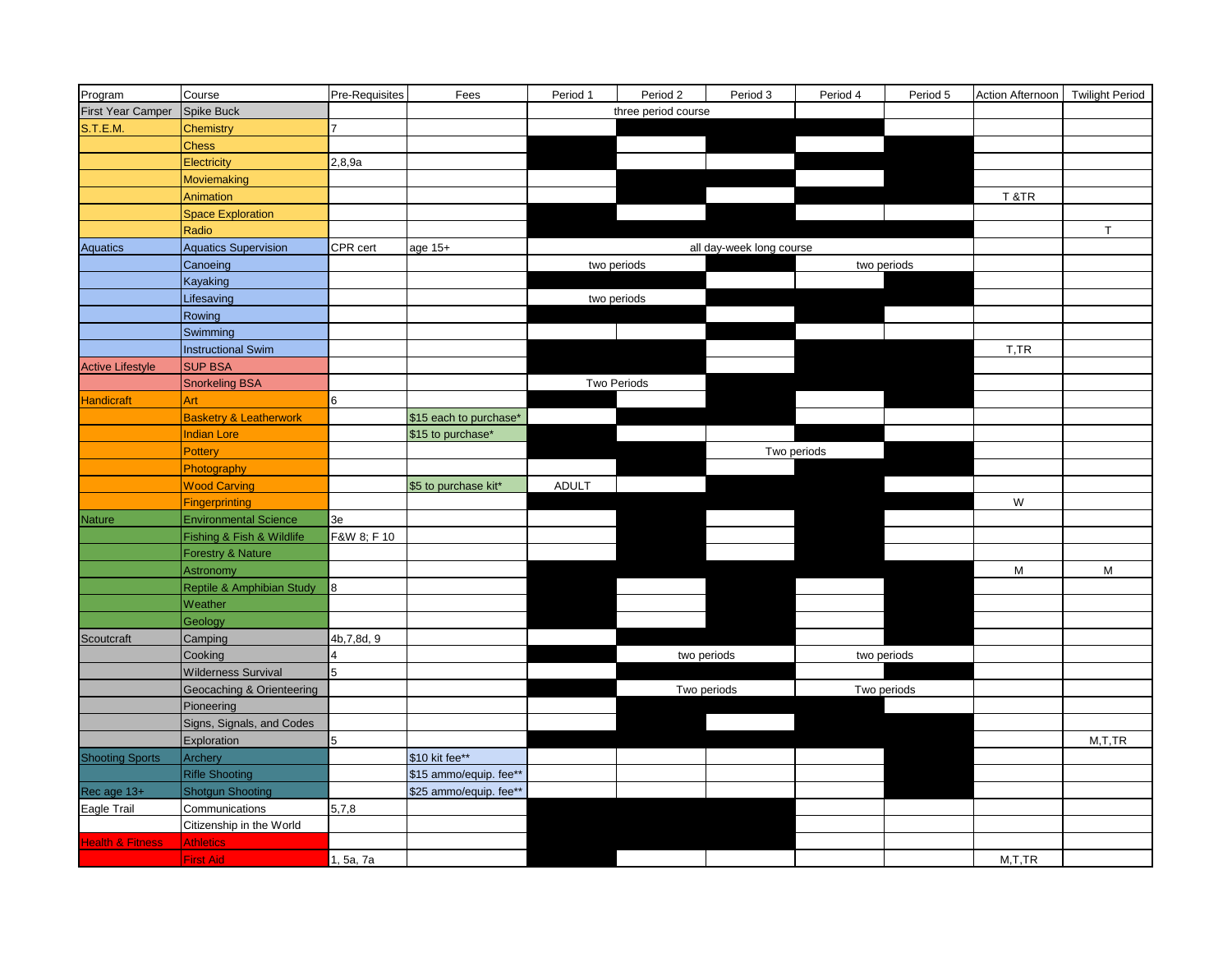| Program                     | Course                            | Pre-Requisites | Fees                   | Period 1                 | Period 2    | Period 3 | Period 4 | Period 5    | Action Afternoon   Twilight Period |          |
|-----------------------------|-----------------------------------|----------------|------------------------|--------------------------|-------------|----------|----------|-------------|------------------------------------|----------|
| First Year Camper           | <b>Spike Buck</b>                 |                |                        | three period course      |             |          |          |             |                                    |          |
| S.T.E.M.                    | Chemistry                         | 7              |                        |                          |             |          |          |             |                                    |          |
|                             | <b>Chess</b>                      |                |                        |                          |             |          |          |             |                                    |          |
|                             | Electricity                       | 2,8,9a         |                        |                          |             |          |          |             |                                    |          |
|                             | <b>Moviemaking</b>                |                |                        |                          |             |          |          |             |                                    |          |
|                             | Animation                         |                |                        |                          |             |          |          |             | T&TR                               |          |
|                             | <b>Space Exploration</b>          |                |                        |                          |             |          |          |             |                                    |          |
|                             | Radio                             |                |                        |                          |             |          |          |             |                                    | T.       |
| Aquatics                    | <b>Aquatics Supervision</b>       | CPR cert       | age 15+                | all day-week long course |             |          |          |             |                                    |          |
|                             | Canoeing                          |                |                        |                          | two periods |          |          | two periods |                                    |          |
|                             | Kayaking                          |                |                        |                          |             |          |          |             |                                    |          |
|                             | Lifesaving                        |                |                        | two periods              |             |          |          |             |                                    |          |
|                             | Rowing                            |                |                        |                          |             |          |          |             |                                    |          |
|                             | Swimming                          |                |                        |                          |             |          |          |             |                                    |          |
|                             | <b>Instructional Swim</b>         |                |                        |                          |             |          |          |             | T,TR                               |          |
| <b>Active Lifestyle</b>     | <b>SUP BSA</b>                    |                |                        |                          |             |          |          |             |                                    |          |
|                             | <b>Snorkeling BSA</b>             |                |                        | <b>Two Periods</b>       |             |          |          |             |                                    |          |
| <b>Handicraft</b>           | Art                               | 6              |                        |                          |             |          |          |             |                                    |          |
|                             | <b>Basketry &amp; Leatherwork</b> |                | \$15 each to purchase* |                          |             |          |          |             |                                    |          |
|                             | <b>Indian Lore</b>                |                | \$15 to purchase*      |                          |             |          |          |             |                                    |          |
|                             | Pottery                           |                |                        | Two periods              |             |          |          |             |                                    |          |
|                             | Photography                       |                |                        |                          |             |          |          |             |                                    |          |
|                             | <b>Wood Carving</b>               |                | \$5 to purchase kit*   | <b>ADULT</b>             |             |          |          |             |                                    |          |
|                             | <b>Fingerprinting</b>             |                |                        |                          |             |          |          |             | W                                  |          |
| <b>Nature</b>               | <b>Environmental Science</b>      | 3e             |                        |                          |             |          |          |             |                                    |          |
|                             | Fishing & Fish & Wildlife         | F&W 8; F 10    |                        |                          |             |          |          |             |                                    |          |
|                             | <b>Forestry &amp; Nature</b>      |                |                        |                          |             |          |          |             |                                    |          |
|                             | Astronomy                         |                |                        |                          |             |          |          |             | M                                  | M        |
|                             | Reptile & Amphibian Study         | 8              |                        |                          |             |          |          |             |                                    |          |
|                             | Weather                           |                |                        |                          |             |          |          |             |                                    |          |
|                             | Geology                           |                |                        |                          |             |          |          |             |                                    |          |
| Scoutcraft                  | Camping                           | 4b, 7, 8d, 9   |                        |                          |             |          |          |             |                                    |          |
|                             | Cooking                           |                |                        |                          | two periods |          |          | two periods |                                    |          |
|                             | <b>Wilderness Survival</b>        | 5              |                        |                          |             |          |          |             |                                    |          |
|                             | Geocaching & Orienteering         |                |                        |                          | Two periods |          |          | Two periods |                                    |          |
|                             | Pioneering                        |                |                        |                          |             |          |          |             |                                    |          |
|                             | Signs, Signals, and Codes         |                |                        |                          |             |          |          |             |                                    |          |
|                             | Exploration                       | 5              |                        |                          |             |          |          |             |                                    | M, T, TR |
| <b>Shooting Sports</b>      | Archery                           |                | \$10 kit fee**         |                          |             |          |          |             |                                    |          |
|                             | <b>Rifle Shooting</b>             |                | \$15 ammo/equip. fee** |                          |             |          |          |             |                                    |          |
| Rec age 13+                 | Shotgun Shooting                  |                | \$25 ammo/equip. fee** |                          |             |          |          |             |                                    |          |
| Eagle Trail                 | Communications                    | 5,7,8          |                        |                          |             |          |          |             |                                    |          |
|                             | Citizenship in the World          |                |                        |                          |             |          |          |             |                                    |          |
| <b>Health &amp; Fitness</b> | <b>Athletics</b>                  |                |                        |                          |             |          |          |             |                                    |          |
|                             | <b>First Aid</b>                  | 1, 5a, 7a      |                        |                          |             |          |          |             | M, T, TR                           |          |